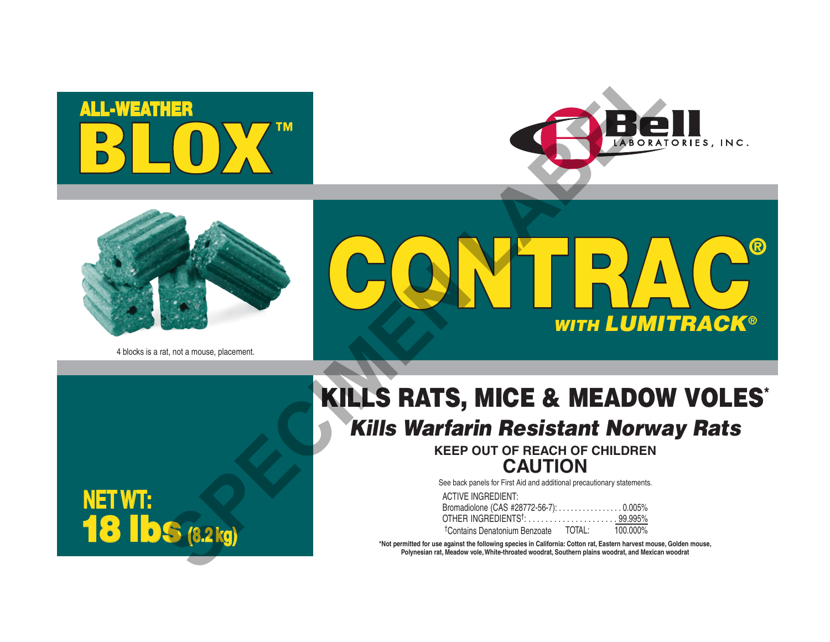





4 blocks is a rat, not a mouse, placement.



# KILLS RATS, MICE & MEADOW VOLES\* *Kills Warfarin Resistant Norway Rats*

**KEEP OUT OF REACH OF CHILDREN CAUTION**

See back panels for First Aid and additional precautionary statements.

ACTIVE INGREDIENT: Bromadiolone (CAS #28772-56-7): . . . . . . . . . . . . . . . . 0.005% OTHER INGREDIENTS†: . . . . . . . . . . . . . . . . . . . . . 99.995% TOTAL: 100.000% †Contains Denatonium Benzoate

**\*Not permitted for use against the following species in California: Cotton rat, Eastern harvest mouse, Golden mouse, Polynesian rat, Meadow vole, White-throated woodrat, Southern plains woodrat, and Mexican woodrat**

**NET WT:** 18 lbs **(8.2 kg)**